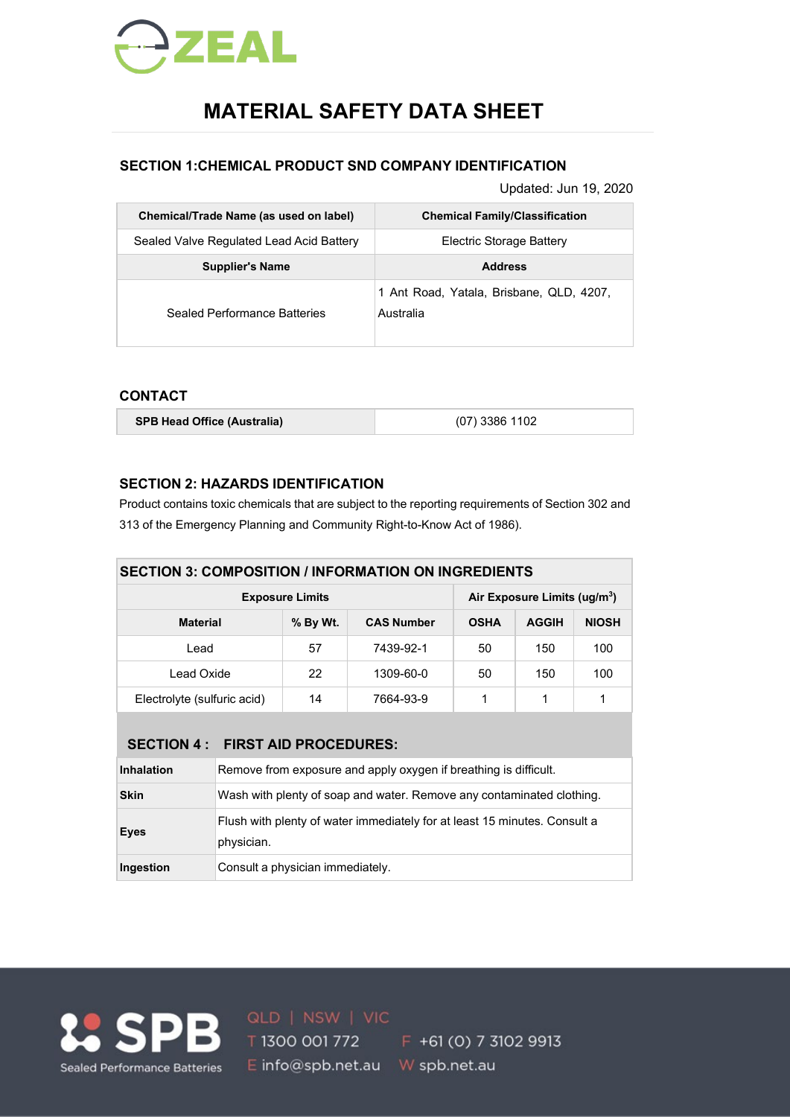

# **MATERIAL SAFETY DATA SHEET**

# **SECTION 1:CHEMICAL PRODUCT SND COMPANY IDENTIFICATION**

Updated: Jun 19, 2020

| Chemical/Trade Name (as used on label)   | <b>Chemical Family/Classification</b>                 |
|------------------------------------------|-------------------------------------------------------|
| Sealed Valve Regulated Lead Acid Battery | Electric Storage Battery                              |
| <b>Supplier's Name</b>                   | <b>Address</b>                                        |
| Sealed Performance Batteries             | 1 Ant Road, Yatala, Brisbane, QLD, 4207,<br>Australia |

# **CONTACT**

| <b>SPB Head Office (Australia)</b> | $(07)$ 3386 1102 |
|------------------------------------|------------------|
|                                    |                  |

# **SECTION 2: HAZARDS IDENTIFICATION**

Product contains toxic chemicals that are subject to the reporting requirements of Section 302 and 313 of the Emergency Planning and Community Right-to-Know Act of 1986).

| <b>SECTION 3: COMPOSITION / INFORMATION ON INGREDIENTS</b> |                                          |              |              |     |     |  |  |
|------------------------------------------------------------|------------------------------------------|--------------|--------------|-----|-----|--|--|
| <b>Exposure Limits</b>                                     | Air Exposure Limits (ug/m <sup>3</sup> ) |              |              |     |     |  |  |
| <b>Material</b>                                            | <b>OSHA</b>                              | <b>AGGIH</b> | <b>NIOSH</b> |     |     |  |  |
| Lead                                                       | 57                                       | 7439-92-1    | 50           | 150 | 100 |  |  |
| Lead Oxide                                                 | 22                                       | 1309-60-0    | 50           | 150 | 100 |  |  |
| Electrolyte (sulfuric acid)                                | 14                                       | 7664-93-9    |              |     | 1   |  |  |

|                   | SECTION 4 : FIRST AID PROCEDURES:                                                       |
|-------------------|-----------------------------------------------------------------------------------------|
| <b>Inhalation</b> | Remove from exposure and apply oxygen if breathing is difficult.                        |
| <b>Skin</b>       | Wash with plenty of soap and water. Remove any contaminated clothing.                   |
| <b>Eyes</b>       | Flush with plenty of water immediately for at least 15 minutes. Consult a<br>physician. |
| Ingestion         | Consult a physician immediately.                                                        |



**10 SPB ald I NSW | VIC** F +61 (0) 7 3102 9913 E info@spb.net.au W spb.net.au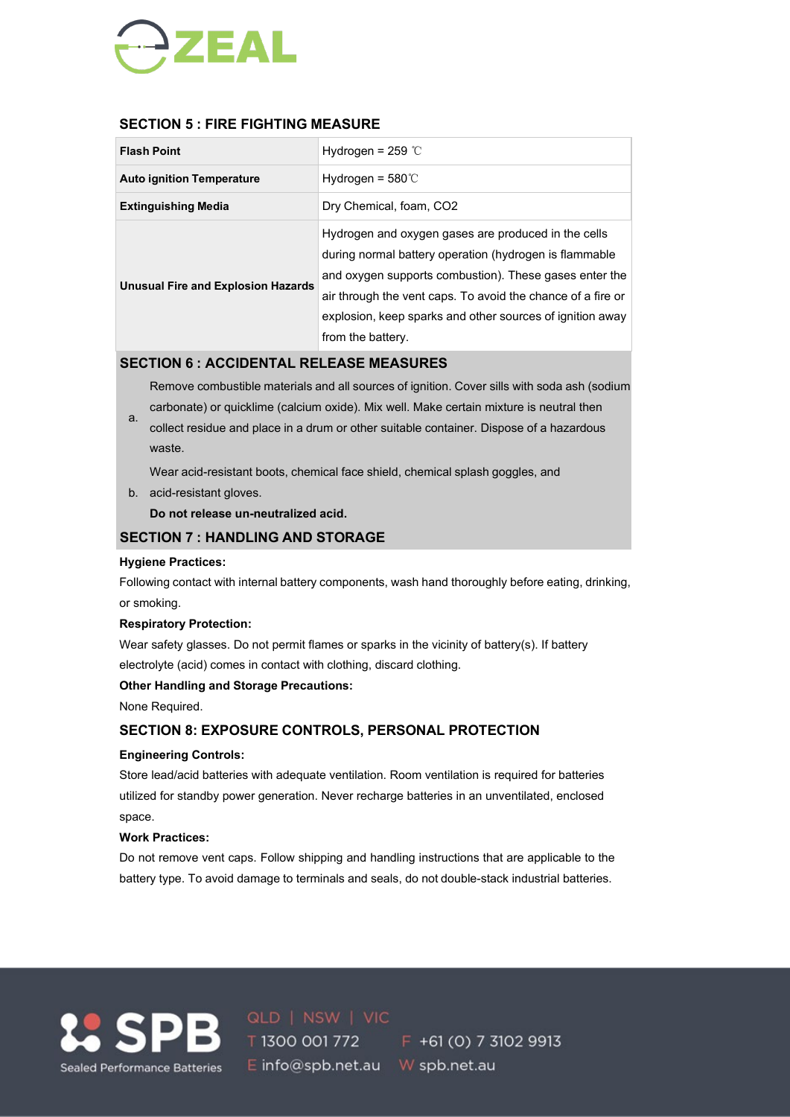

# **SECTION 5 : FIRE FIGHTING MEASURE**

| <b>Flash Point</b>                        | Hydrogen = $259$ °C                                                                                                                                                                                                                                                                                                      |
|-------------------------------------------|--------------------------------------------------------------------------------------------------------------------------------------------------------------------------------------------------------------------------------------------------------------------------------------------------------------------------|
| <b>Auto ignition Temperature</b>          | Hydrogen = $580^{\circ}$ C                                                                                                                                                                                                                                                                                               |
| <b>Extinguishing Media</b>                | Dry Chemical, foam, CO2                                                                                                                                                                                                                                                                                                  |
| <b>Unusual Fire and Explosion Hazards</b> | Hydrogen and oxygen gases are produced in the cells<br>during normal battery operation (hydrogen is flammable<br>and oxygen supports combustion). These gases enter the<br>air through the vent caps. To avoid the chance of a fire or<br>explosion, keep sparks and other sources of ignition away<br>from the battery. |

## **SECTION 6 : ACCIDENTAL RELEASE MEASURES**

Remove combustible materials and all sources of ignition. Cover sills with soda ash (sodium carbonate) or quicklime (calcium oxide). Mix well. Make certain mixture is neutral then

a. collect residue and place in a drum or other suitable container. Dispose of a hazardous waste.

Wear acid-resistant boots, chemical face shield, chemical splash goggles, and

b. acid-resistant gloves.

**Do not release un-neutralized acid.**

### **SECTION 7 : HANDLING AND STORAGE**

#### **Hygiene Practices:**

Following contact with internal battery components, wash hand thoroughly before eating, drinking, or smoking.

#### **Respiratory Protection:**

Wear safety glasses. Do not permit flames or sparks in the vicinity of battery(s). If battery electrolyte (acid) comes in contact with clothing, discard clothing.

#### **Other Handling and Storage Precautions:**

None Required.

# **SECTION 8: EXPOSURE CONTROLS, PERSONAL PROTECTION**

#### **Engineering Controls:**

Store lead/acid batteries with adequate ventilation. Room ventilation is required for batteries utilized for standby power generation. Never recharge batteries in an unventilated, enclosed space.

#### **Work Practices:**

Do not remove vent caps. Follow shipping and handling instructions that are applicable to the battery type. To avoid damage to terminals and seals, do not double-stack industrial batteries.



E info@spb.net.au W spb.net.au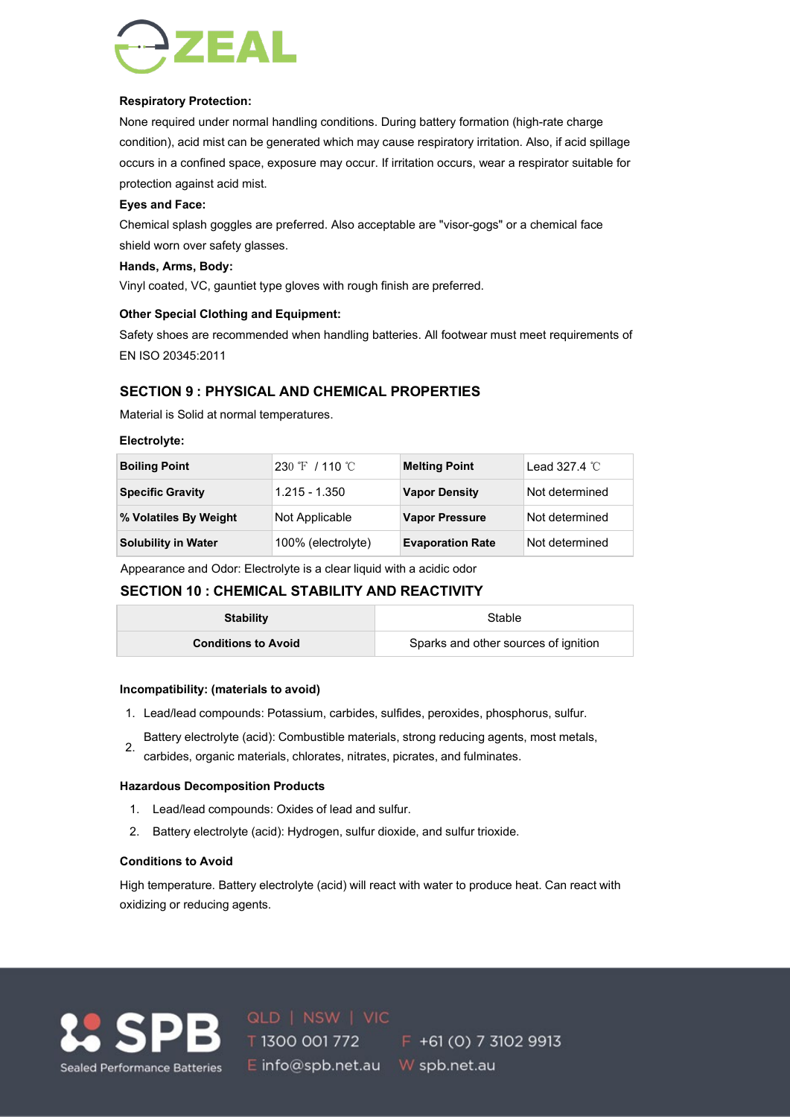

#### **Respiratory Protection:**

None required under normal handling conditions. During battery formation (high-rate charge condition), acid mist can be generated which may cause respiratory irritation. Also, if acid spillage occurs in a confined space, exposure may occur. If irritation occurs, wear a respirator suitable for protection against acid mist.

#### **Eyes and Face:**

Chemical splash goggles are preferred. Also acceptable are "visor-gogs" or a chemical face shield worn over safety glasses.

#### **Hands, Arms, Body:**

Vinyl coated, VC, gauntiet type gloves with rough finish are preferred.

#### **Other Special Clothing and Equipment:**

Safety shoes are recommended when handling batteries. All footwear must meet requirements of EN ISO 20345:2011

# **SECTION 9 : PHYSICAL AND CHEMICAL PROPERTIES**

Material is Solid at normal temperatures.

#### **Electrolyte:**

| <b>Boiling Point</b>       | $230 \text{ }^{\circ}\text{F}$ / 110 $^{\circ}\text{C}$ | <b>Melting Point</b>    | Lead 327.4 $\degree$ C |
|----------------------------|---------------------------------------------------------|-------------------------|------------------------|
| <b>Specific Gravity</b>    | $1.215 - 1.350$                                         | <b>Vapor Density</b>    | Not determined         |
| % Volatiles By Weight      | Not Applicable                                          | <b>Vapor Pressure</b>   | Not determined         |
| <b>Solubility in Water</b> | 100% (electrolyte)                                      | <b>Evaporation Rate</b> | Not determined         |

Appearance and Odor: Electrolyte is a clear liquid with a acidic odor

# **SECTION 10 : CHEMICAL STABILITY AND REACTIVITY**

| <b>Stability</b>           | <b>Stable</b>                        |  |  |  |  |
|----------------------------|--------------------------------------|--|--|--|--|
| <b>Conditions to Avoid</b> | Sparks and other sources of ignition |  |  |  |  |

#### **Incompatibility: (materials to avoid)**

- 1. Lead/lead compounds: Potassium, carbides, sulfides, peroxides, phosphorus, sulfur.
- Battery electrolyte (acid): Combustible materials, strong reducing agents, most metals,
- carbides, organic materials, chlorates, nitrates, picrates, and fulminates.

#### **Hazardous Decomposition Products**

- 1. Lead/lead compounds: Oxides of lead and sulfur.
- 2. Battery electrolyte (acid): Hydrogen, sulfur dioxide, and sulfur trioxide.

#### **Conditions to Avoid**

High temperature. Battery electrolyte (acid) will react with water to produce heat. Can react with oxidizing or reducing agents.



SPB 0LD | NSW | VIC<br>
T 1300 001 772 F +61 (0) 7 3102 9913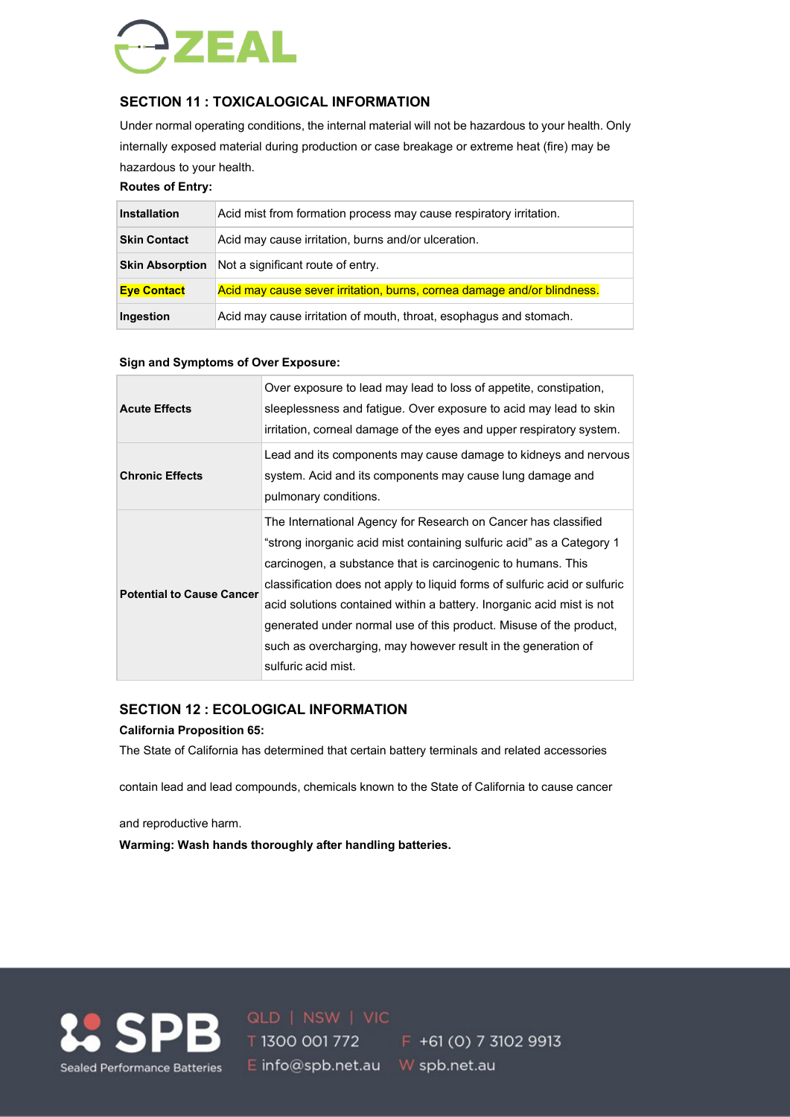

# **SECTION 11 : TOXICALOGICAL INFORMATION**

Under normal operating conditions, the internal material will not be hazardous to your health. Only internally exposed material during production or case breakage or extreme heat (fire) may be hazardous to your health.

### **Routes of Entry:**

| <b>Installation</b>    | Acid mist from formation process may cause respiratory irritation.      |
|------------------------|-------------------------------------------------------------------------|
| <b>Skin Contact</b>    | Acid may cause irritation, burns and/or ulceration.                     |
| <b>Skin Absorption</b> | Not a significant route of entry.                                       |
| <b>Eye Contact</b>     | Acid may cause sever irritation, burns, cornea damage and/or blindness. |
| Ingestion              | Acid may cause irritation of mouth, throat, esophagus and stomach.      |

#### **Sign and Symptoms of Over Exposure:**

| <b>Acute Effects</b>             | Over exposure to lead may lead to loss of appetite, constipation,<br>sleeplessness and fatigue. Over exposure to acid may lead to skin<br>irritation, corneal damage of the eyes and upper respiratory system.                                                                                                                                                                                                                                                                                                               |
|----------------------------------|------------------------------------------------------------------------------------------------------------------------------------------------------------------------------------------------------------------------------------------------------------------------------------------------------------------------------------------------------------------------------------------------------------------------------------------------------------------------------------------------------------------------------|
| <b>Chronic Effects</b>           | Lead and its components may cause damage to kidneys and nervous<br>system. Acid and its components may cause lung damage and<br>pulmonary conditions.                                                                                                                                                                                                                                                                                                                                                                        |
| <b>Potential to Cause Cancer</b> | The International Agency for Research on Cancer has classified<br>"strong inorganic acid mist containing sulfuric acid" as a Category 1<br>carcinogen, a substance that is carcinogenic to humans. This<br>classification does not apply to liquid forms of sulfuric acid or sulfuric<br>acid solutions contained within a battery. Inorganic acid mist is not<br>generated under normal use of this product. Misuse of the product,<br>such as overcharging, may however result in the generation of<br>sulfuric acid mist. |

#### **SECTION 12 : ECOLOGICAL INFORMATION**

#### **California Proposition 65:**

The State of California has determined that certain battery terminals and related accessories

contain lead and lead compounds, chemicals known to the State of California to cause cancer

and reproductive harm.

**Warming: Wash hands thoroughly after handling batteries.**



**1.** SPB **ald I NSW | VIC** F +61 (0) 7 3102 9913 E info@spb.net.au W spb.net.au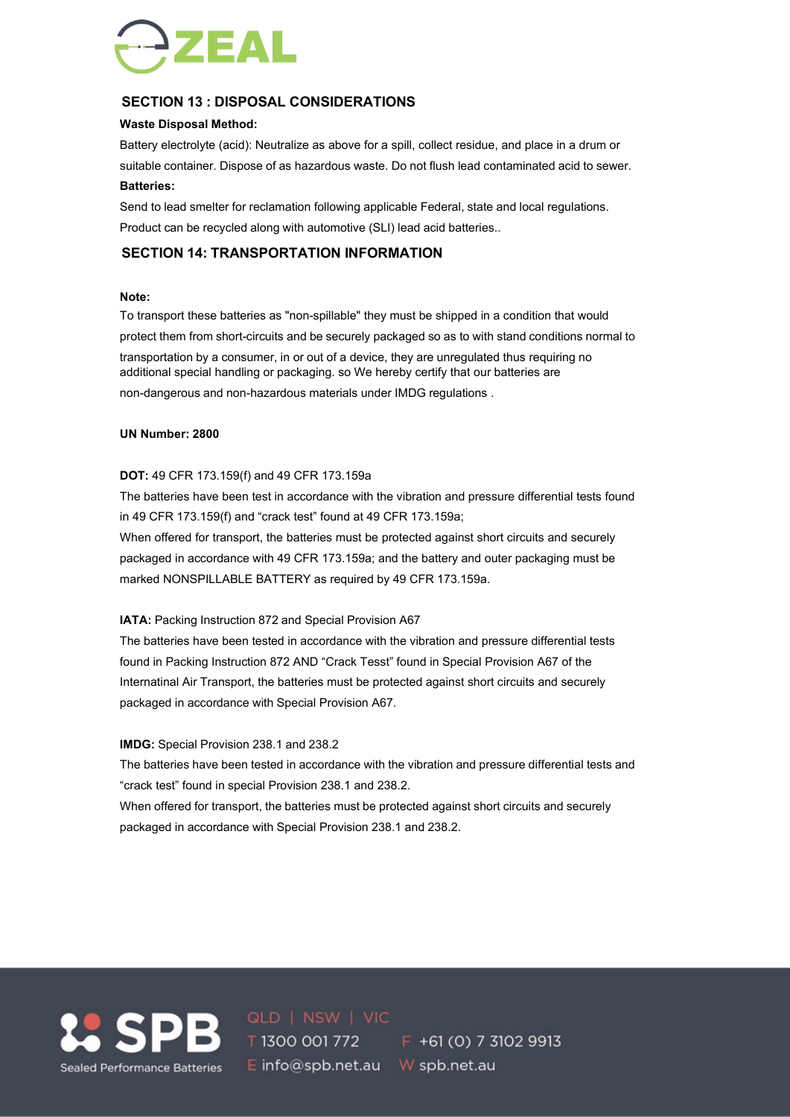

# **SECTION 13 : DISPOSAL CONSIDERATIONS**

#### **Waste Disposal Method:**

Battery electrolyte (acid): Neutralize as above for a spill, collect residue, and place in a drum or suitable container. Dispose of as hazardous waste. Do not flush lead contaminated acid to sewer. **Batteries:**

Send to lead smelter for reclamation following applicable Federal, state and local regulations. Product can be recycled along with automotive (SLI) lead acid batteries..

# **SECTION 14: TRANSPORTATION INFORMATION**

#### **Note:**

To transport these batteries as "non-spillable" they must be shipped in a condition that would protect them from short-circuits and be securely packaged so as to with stand conditions normal to transportation by a consumer, in or out of a device, they are unregulated thus requiring no additional special handling or packaging. so We hereby certify that our batteries are non-dangerous and non-hazardous materials under IMDG regulations .

#### **UN Number: 2800**

#### **DOT:** 49 CFR 173.159(f) and 49 CFR 173.159a

The batteries have been test in accordance with the vibration and pressure differential tests found in 49 CFR 173.159(f) and "crack test" found at 49 CFR 173.159a;

When offered for transport, the batteries must be protected against short circuits and securely packaged in accordance with 49 CFR 173.159a; and the battery and outer packaging must be marked NONSPILLABLE BATTERY as required by 49 CFR 173.159a.

#### **IATA:** Packing Instruction 872 and Special Provision A67

The batteries have been tested in accordance with the vibration and pressure differential tests found in Packing Instruction 872 AND "Crack Tesst" found in Special Provision A67 of the Internatinal Air Transport, the batteries must be protected against short circuits and securely packaged in accordance with Special Provision A67.

#### **IMDG:** Special Provision 238.1 and 238.2

The batteries have been tested in accordance with the vibration and pressure differential tests and "crack test" found in special Provision 238.1 and 238.2.

When offered for transport, the batteries must be protected against short circuits and securely packaged in accordance with Special Provision 238.1 and 238.2.



**SPB ald** I NSW | VIC<br>**5 DB T** 1300 001 772 **F** +61 (0) 7 3102 9913 E info@spb.net.au W spb.net.au